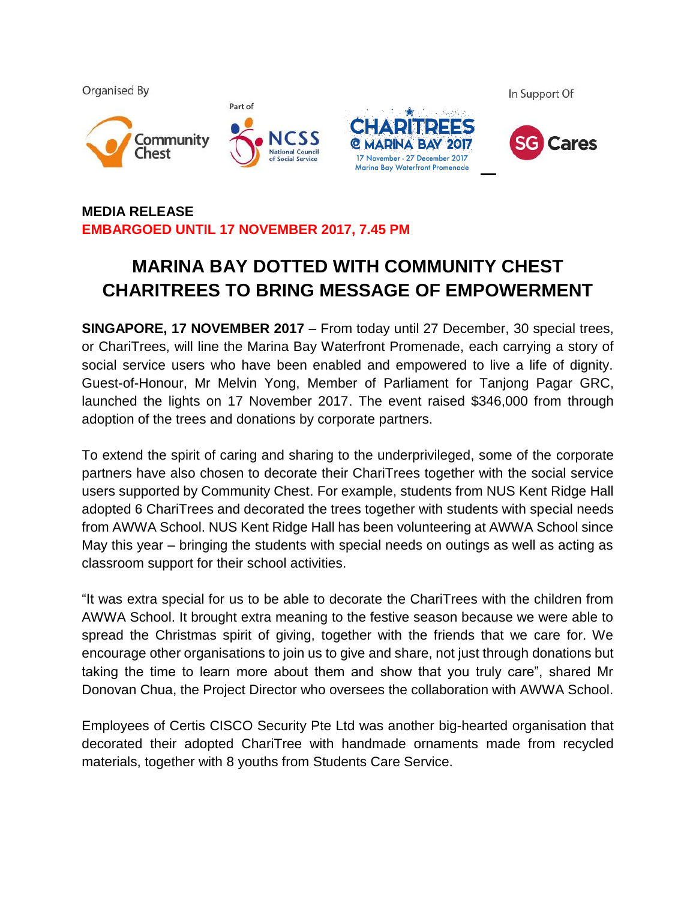

## **MEDIA RELEASE EMBARGOED UNTIL 17 NOVEMBER 2017, 7.45 PM**

# **MARINA BAY DOTTED WITH COMMUNITY CHEST CHARITREES TO BRING MESSAGE OF EMPOWERMENT**

**SINGAPORE, 17 NOVEMBER 2017** – From today until 27 December, 30 special trees, or ChariTrees, will line the Marina Bay Waterfront Promenade, each carrying a story of social service users who have been enabled and empowered to live a life of dignity. Guest-of-Honour, Mr Melvin Yong, Member of Parliament for Tanjong Pagar GRC, launched the lights on 17 November 2017. The event raised \$346,000 from through adoption of the trees and donations by corporate partners.

To extend the spirit of caring and sharing to the underprivileged, some of the corporate partners have also chosen to decorate their ChariTrees together with the social service users supported by Community Chest. For example, students from NUS Kent Ridge Hall adopted 6 ChariTrees and decorated the trees together with students with special needs from AWWA School. NUS Kent Ridge Hall has been volunteering at AWWA School since May this year – bringing the students with special needs on outings as well as acting as classroom support for their school activities.

"It was extra special for us to be able to decorate the ChariTrees with the children from AWWA School. It brought extra meaning to the festive season because we were able to spread the Christmas spirit of giving, together with the friends that we care for. We encourage other organisations to join us to give and share, not just through donations but taking the time to learn more about them and show that you truly care", shared Mr Donovan Chua, the Project Director who oversees the collaboration with AWWA School.

Employees of Certis CISCO Security Pte Ltd was another big-hearted organisation that decorated their adopted ChariTree with handmade ornaments made from recycled materials, together with 8 youths from Students Care Service.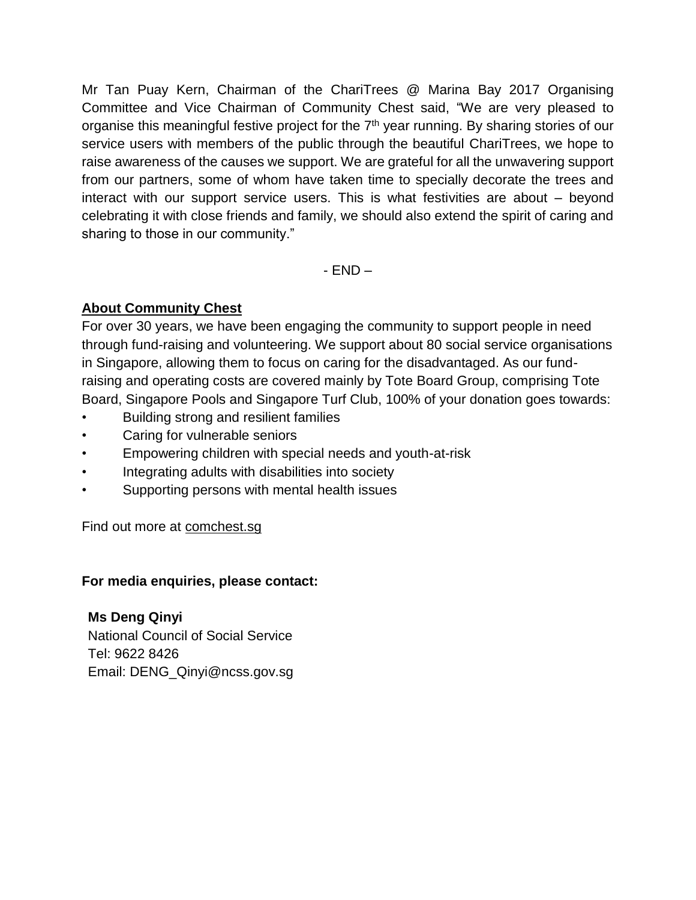Mr Tan Puay Kern, Chairman of the ChariTrees @ Marina Bay 2017 Organising Committee and Vice Chairman of Community Chest said, "We are very pleased to organise this meaningful festive project for the 7<sup>th</sup> year running. By sharing stories of our service users with members of the public through the beautiful ChariTrees, we hope to raise awareness of the causes we support. We are grateful for all the unwavering support from our partners, some of whom have taken time to specially decorate the trees and interact with our support service users. This is what festivities are about – beyond celebrating it with close friends and family, we should also extend the spirit of caring and sharing to those in our community."

- END –

## **About Community Chest**

For over 30 years, we have been engaging the community to support people in need through fund-raising and volunteering. We support about 80 social service organisations in Singapore, allowing them to focus on caring for the disadvantaged. As our fundraising and operating costs are covered mainly by Tote Board Group, comprising Tote Board, Singapore Pools and Singapore Turf Club, 100% of your donation goes towards:

- Building strong and resilient families
- Caring for vulnerable seniors
- Empowering children with special needs and youth-at-risk
- Integrating adults with disabilities into society
- Supporting persons with mental health issues

Find out more at comchest.sg

### **For media enquiries, please contact:**

**Ms Deng Qinyi** National Council of Social Service Tel: 9622 8426 Email: DENG\_Qinyi@ncss.gov.sg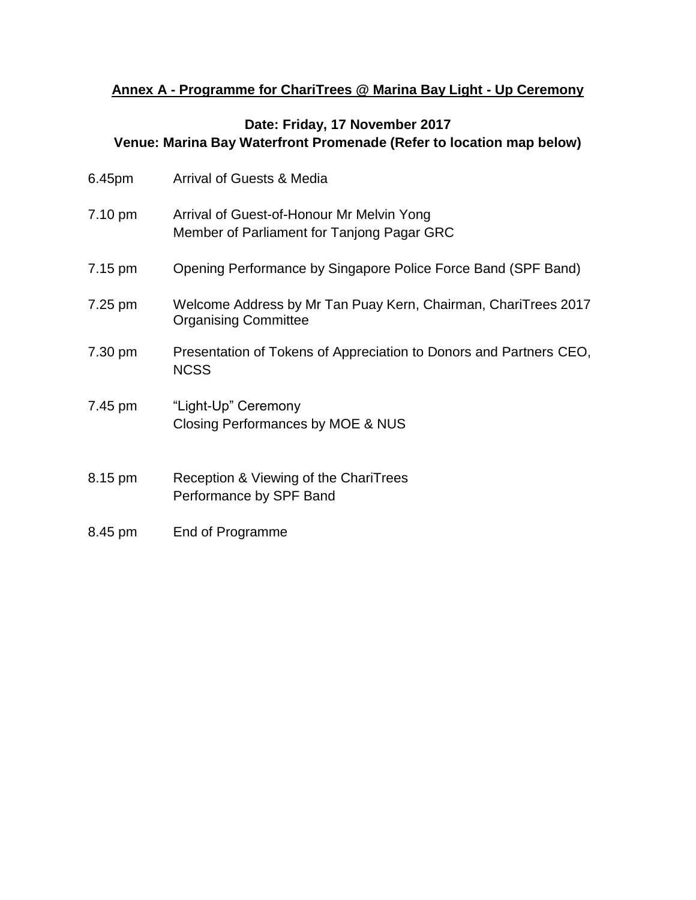## **Annex A - Programme for ChariTrees @ Marina Bay Light - Up Ceremony**

## **Date: Friday, 17 November 2017 Venue: Marina Bay Waterfront Promenade (Refer to location map below)**

| 6.45pm  | <b>Arrival of Guests &amp; Media</b>                                                          |
|---------|-----------------------------------------------------------------------------------------------|
| 7.10 pm | Arrival of Guest-of-Honour Mr Melvin Yong<br>Member of Parliament for Tanjong Pagar GRC       |
| 7.15 pm | Opening Performance by Singapore Police Force Band (SPF Band)                                 |
| 7.25 pm | Welcome Address by Mr Tan Puay Kern, Chairman, ChariTrees 2017<br><b>Organising Committee</b> |
| 7.30 pm | Presentation of Tokens of Appreciation to Donors and Partners CEO,<br><b>NCSS</b>             |
| 7.45 pm | "Light-Up" Ceremony<br>Closing Performances by MOE & NUS                                      |
| 8.15 pm | Reception & Viewing of the ChariTrees<br>Performance by SPF Band                              |
| 8.45 pm | End of Programme                                                                              |